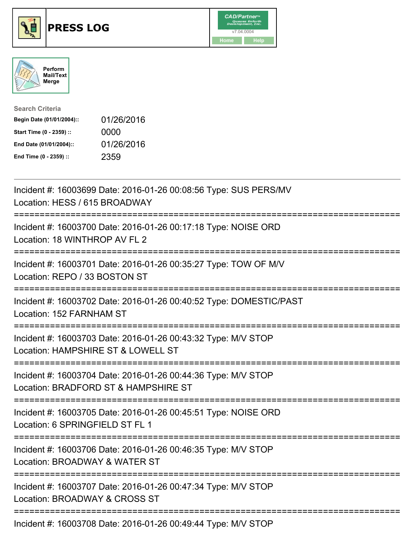





| <b>Search Criteria</b>    |            |
|---------------------------|------------|
| Begin Date (01/01/2004):: | 01/26/2016 |
| Start Time (0 - 2359) ::  | 0000       |
| End Date (01/01/2004)::   | 01/26/2016 |
| End Time (0 - 2359) ::    | 2359       |

| Incident #: 16003699 Date: 2016-01-26 00:08:56 Type: SUS PERS/MV<br>Location: HESS / 615 BROADWAY                                              |
|------------------------------------------------------------------------------------------------------------------------------------------------|
| Incident #: 16003700 Date: 2016-01-26 00:17:18 Type: NOISE ORD<br>Location: 18 WINTHROP AV FL 2                                                |
| Incident #: 16003701 Date: 2016-01-26 00:35:27 Type: TOW OF M/V<br>Location: REPO / 33 BOSTON ST<br>========================<br>============== |
| Incident #: 16003702 Date: 2016-01-26 00:40:52 Type: DOMESTIC/PAST<br>Location: 152 FARNHAM ST                                                 |
| Incident #: 16003703 Date: 2016-01-26 00:43:32 Type: M/V STOP<br>Location: HAMPSHIRE ST & LOWELL ST<br>;==============================         |
| Incident #: 16003704 Date: 2016-01-26 00:44:36 Type: M/V STOP<br>Location: BRADFORD ST & HAMPSHIRE ST                                          |
| Incident #: 16003705 Date: 2016-01-26 00:45:51 Type: NOISE ORD<br>Location: 6 SPRINGFIELD ST FL 1                                              |
| Incident #: 16003706 Date: 2016-01-26 00:46:35 Type: M/V STOP<br>Location: BROADWAY & WATER ST                                                 |
| Incident #: 16003707 Date: 2016-01-26 00:47:34 Type: M/V STOP<br>Location: BROADWAY & CROSS ST                                                 |
| $Inoidont + 16002700$ Dete: 2016 01.26 00:40:44 Tune: MAI CTOD                                                                                 |

Incident #: 16003708 Date: 2016-01-26 00:49:44 Type: M/V STOP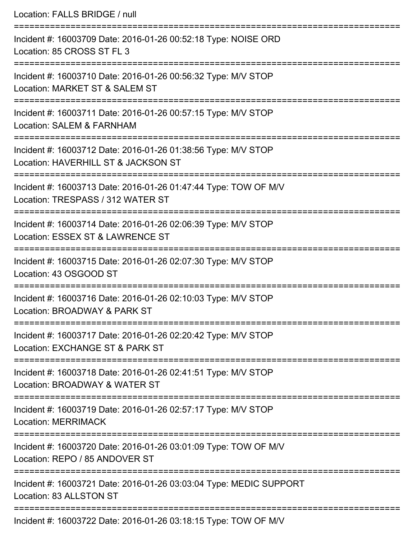| Location: FALLS BRIDGE / null                                                                                                        |
|--------------------------------------------------------------------------------------------------------------------------------------|
| Incident #: 16003709 Date: 2016-01-26 00:52:18 Type: NOISE ORD<br>Location: 85 CROSS ST FL 3                                         |
| Incident #: 16003710 Date: 2016-01-26 00:56:32 Type: M/V STOP<br>Location: MARKET ST & SALEM ST                                      |
| Incident #: 16003711 Date: 2016-01-26 00:57:15 Type: M/V STOP<br>Location: SALEM & FARNHAM                                           |
| Incident #: 16003712 Date: 2016-01-26 01:38:56 Type: M/V STOP<br>Location: HAVERHILL ST & JACKSON ST                                 |
| Incident #: 16003713 Date: 2016-01-26 01:47:44 Type: TOW OF M/V<br>Location: TRESPASS / 312 WATER ST                                 |
| Incident #: 16003714 Date: 2016-01-26 02:06:39 Type: M/V STOP<br>Location: ESSEX ST & LAWRENCE ST                                    |
| Incident #: 16003715 Date: 2016-01-26 02:07:30 Type: M/V STOP<br>Location: 43 OSGOOD ST                                              |
| Incident #: 16003716 Date: 2016-01-26 02:10:03 Type: M/V STOP<br>Location: BROADWAY & PARK ST                                        |
| ================================<br>Incident #: 16003717 Date: 2016-01-26 02:20:42 Type: M/V STOP<br>Location: EXCHANGE ST & PARK ST |
| Incident #: 16003718 Date: 2016-01-26 02:41:51 Type: M/V STOP<br>Location: BROADWAY & WATER ST                                       |
| Incident #: 16003719 Date: 2016-01-26 02:57:17 Type: M/V STOP<br><b>Location: MERRIMACK</b>                                          |
| Incident #: 16003720 Date: 2016-01-26 03:01:09 Type: TOW OF M/V<br>Location: REPO / 85 ANDOVER ST                                    |
| Incident #: 16003721 Date: 2016-01-26 03:03:04 Type: MEDIC SUPPORT<br>Location: 83 ALLSTON ST                                        |
| ============================<br>Incident #: 16003722 Date: 2016-01-26 03:18:15 Type: TOW OF M/V                                      |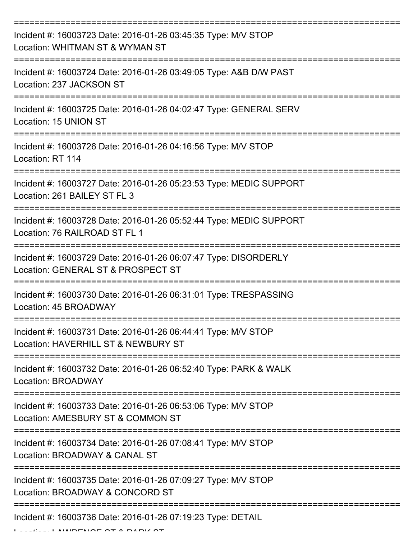| Incident #: 16003723 Date: 2016-01-26 03:45:35 Type: M/V STOP<br>Location: WHITMAN ST & WYMAN ST      |
|-------------------------------------------------------------------------------------------------------|
| Incident #: 16003724 Date: 2016-01-26 03:49:05 Type: A&B D/W PAST<br>Location: 237 JACKSON ST         |
| Incident #: 16003725 Date: 2016-01-26 04:02:47 Type: GENERAL SERV<br>Location: 15 UNION ST            |
| Incident #: 16003726 Date: 2016-01-26 04:16:56 Type: M/V STOP<br>Location: RT 114                     |
| Incident #: 16003727 Date: 2016-01-26 05:23:53 Type: MEDIC SUPPORT<br>Location: 261 BAILEY ST FL 3    |
| Incident #: 16003728 Date: 2016-01-26 05:52:44 Type: MEDIC SUPPORT<br>Location: 76 RAILROAD ST FL 1   |
| Incident #: 16003729 Date: 2016-01-26 06:07:47 Type: DISORDERLY<br>Location: GENERAL ST & PROSPECT ST |
| Incident #: 16003730 Date: 2016-01-26 06:31:01 Type: TRESPASSING<br>Location: 45 BROADWAY             |
| Incident #: 16003731 Date: 2016-01-26 06:44:41 Type: M/V STOP<br>Location: HAVERHILL ST & NEWBURY ST  |
| Incident #: 16003732 Date: 2016-01-26 06:52:40 Type: PARK & WALK<br><b>Location: BROADWAY</b>         |
| Incident #: 16003733 Date: 2016-01-26 06:53:06 Type: M/V STOP<br>Location: AMESBURY ST & COMMON ST    |
| Incident #: 16003734 Date: 2016-01-26 07:08:41 Type: M/V STOP<br>Location: BROADWAY & CANAL ST        |
| Incident #: 16003735 Date: 2016-01-26 07:09:27 Type: M/V STOP<br>Location: BROADWAY & CONCORD ST      |
| Incident #: 16003736 Date: 2016-01-26 07:19:23 Type: DETAIL                                           |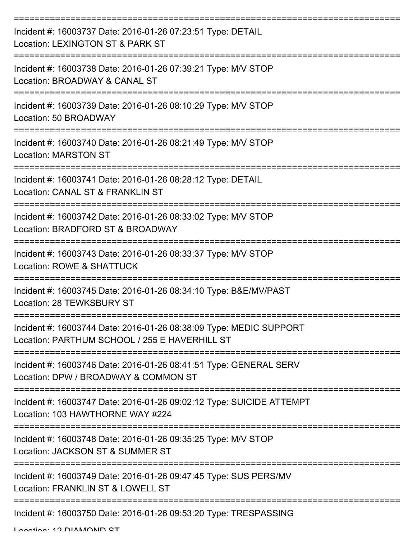| Incident #: 16003737 Date: 2016-01-26 07:23:51 Type: DETAIL<br>Location: LEXINGTON ST & PARK ST                     |
|---------------------------------------------------------------------------------------------------------------------|
| Incident #: 16003738 Date: 2016-01-26 07:39:21 Type: M/V STOP<br>Location: BROADWAY & CANAL ST                      |
| Incident #: 16003739 Date: 2016-01-26 08:10:29 Type: M/V STOP<br>Location: 50 BROADWAY                              |
| Incident #: 16003740 Date: 2016-01-26 08:21:49 Type: M/V STOP<br><b>Location: MARSTON ST</b>                        |
| Incident #: 16003741 Date: 2016-01-26 08:28:12 Type: DETAIL<br>Location: CANAL ST & FRANKLIN ST                     |
| Incident #: 16003742 Date: 2016-01-26 08:33:02 Type: M/V STOP<br>Location: BRADFORD ST & BROADWAY                   |
| Incident #: 16003743 Date: 2016-01-26 08:33:37 Type: M/V STOP<br>Location: ROWE & SHATTUCK                          |
| Incident #: 16003745 Date: 2016-01-26 08:34:10 Type: B&E/MV/PAST<br>Location: 28 TFWKSBURY ST                       |
| Incident #: 16003744 Date: 2016-01-26 08:38:09 Type: MEDIC SUPPORT<br>Location: PARTHUM SCHOOL / 255 E HAVERHILL ST |
| Incident #: 16003746 Date: 2016-01-26 08:41:51 Type: GENERAL SERV<br>Location: DPW / BROADWAY & COMMON ST           |
| Incident #: 16003747 Date: 2016-01-26 09:02:12 Type: SUICIDE ATTEMPT<br>Location: 103 HAWTHORNE WAY #224            |
| Incident #: 16003748 Date: 2016-01-26 09:35:25 Type: M/V STOP<br>Location: JACKSON ST & SUMMER ST                   |
| Incident #: 16003749 Date: 2016-01-26 09:47:45 Type: SUS PERS/MV<br>Location: FRANKLIN ST & LOWELL ST               |
| Incident #: 16003750 Date: 2016-01-26 09:53:20 Type: TRESPASSING                                                    |

Location: 12 DIAMONID ST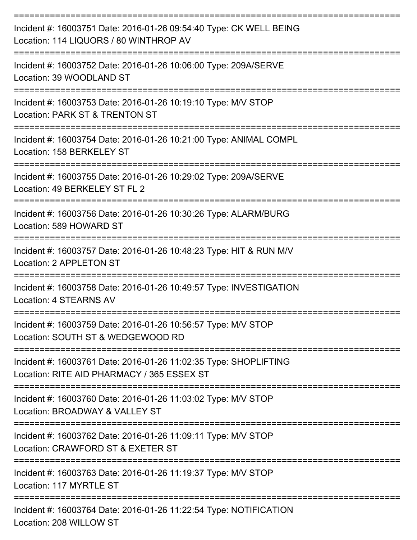| Incident #: 16003751 Date: 2016-01-26 09:54:40 Type: CK WELL BEING<br>Location: 114 LIQUORS / 80 WINTHROP AV   |
|----------------------------------------------------------------------------------------------------------------|
| Incident #: 16003752 Date: 2016-01-26 10:06:00 Type: 209A/SERVE<br>Location: 39 WOODLAND ST                    |
| Incident #: 16003753 Date: 2016-01-26 10:19:10 Type: M/V STOP<br>Location: PARK ST & TRENTON ST                |
| Incident #: 16003754 Date: 2016-01-26 10:21:00 Type: ANIMAL COMPL<br>Location: 158 BERKELEY ST                 |
| Incident #: 16003755 Date: 2016-01-26 10:29:02 Type: 209A/SERVE<br>Location: 49 BERKELEY ST FL 2               |
| Incident #: 16003756 Date: 2016-01-26 10:30:26 Type: ALARM/BURG<br>Location: 589 HOWARD ST                     |
| Incident #: 16003757 Date: 2016-01-26 10:48:23 Type: HIT & RUN M/V<br>Location: 2 APPLETON ST                  |
| Incident #: 16003758 Date: 2016-01-26 10:49:57 Type: INVESTIGATION<br>Location: 4 STEARNS AV                   |
| Incident #: 16003759 Date: 2016-01-26 10:56:57 Type: M/V STOP<br>Location: SOUTH ST & WEDGEWOOD RD             |
| Incident #: 16003761 Date: 2016-01-26 11:02:35 Type: SHOPLIFTING<br>Location: RITE AID PHARMACY / 365 ESSEX ST |
| Incident #: 16003760 Date: 2016-01-26 11:03:02 Type: M/V STOP<br>Location: BROADWAY & VALLEY ST                |
| Incident #: 16003762 Date: 2016-01-26 11:09:11 Type: M/V STOP<br>Location: CRAWFORD ST & EXETER ST             |
| Incident #: 16003763 Date: 2016-01-26 11:19:37 Type: M/V STOP<br>Location: 117 MYRTLE ST                       |
| Incident #: 16003764 Date: 2016-01-26 11:22:54 Type: NOTIFICATION<br>Location: 208 WILLOW ST                   |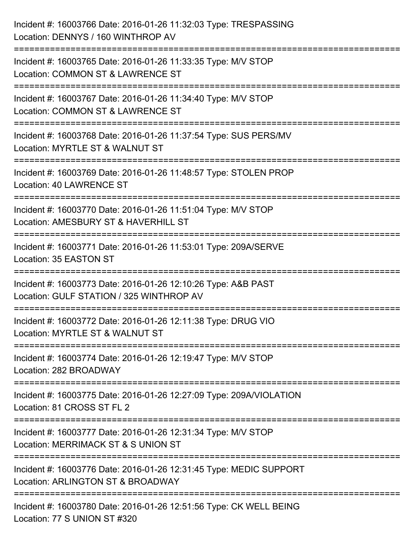| Incident #: 16003766 Date: 2016-01-26 11:32:03 Type: TRESPASSING<br>Location: DENNYS / 160 WINTHROP AV                  |
|-------------------------------------------------------------------------------------------------------------------------|
| Incident #: 16003765 Date: 2016-01-26 11:33:35 Type: M/V STOP<br>Location: COMMON ST & LAWRENCE ST                      |
| Incident #: 16003767 Date: 2016-01-26 11:34:40 Type: M/V STOP<br>Location: COMMON ST & LAWRENCE ST                      |
| Incident #: 16003768 Date: 2016-01-26 11:37:54 Type: SUS PERS/MV<br>Location: MYRTLE ST & WALNUT ST                     |
| Incident #: 16003769 Date: 2016-01-26 11:48:57 Type: STOLEN PROP<br>Location: 40 LAWRENCE ST                            |
| Incident #: 16003770 Date: 2016-01-26 11:51:04 Type: M/V STOP<br>Location: AMESBURY ST & HAVERHILL ST                   |
| Incident #: 16003771 Date: 2016-01-26 11:53:01 Type: 209A/SERVE<br>Location: 35 EASTON ST                               |
| Incident #: 16003773 Date: 2016-01-26 12:10:26 Type: A&B PAST<br>Location: GULF STATION / 325 WINTHROP AV               |
| Incident #: 16003772 Date: 2016-01-26 12:11:38 Type: DRUG VIO<br>Location: MYRTLE ST & WALNUT ST                        |
| Incident #: 16003774 Date: 2016-01-26 12:19:47 Type: M/V STOP<br>Location: 282 BROADWAY<br>=====================        |
| ==================<br>Incident #: 16003775 Date: 2016-01-26 12:27:09 Type: 209A/VIOLATION<br>Location: 81 CROSS ST FL 2 |
| Incident #: 16003777 Date: 2016-01-26 12:31:34 Type: M/V STOP<br>Location: MERRIMACK ST & S UNION ST                    |
| Incident #: 16003776 Date: 2016-01-26 12:31:45 Type: MEDIC SUPPORT<br>Location: ARLINGTON ST & BROADWAY                 |
| Incident #: 16003780 Date: 2016-01-26 12:51:56 Type: CK WELL BEING<br>Location: 77 S UNION ST #320                      |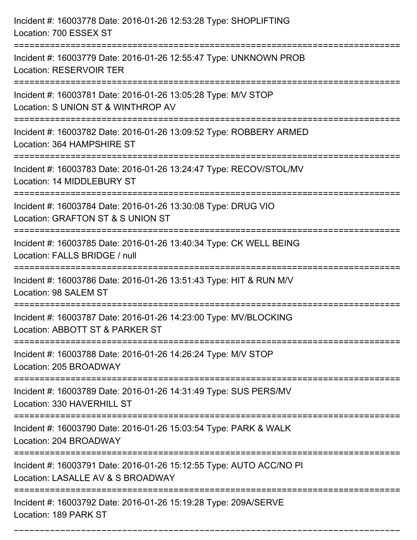| Incident #: 16003778 Date: 2016-01-26 12:53:28 Type: SHOPLIFTING<br>Location: 700 ESSEX ST                                          |
|-------------------------------------------------------------------------------------------------------------------------------------|
| Incident #: 16003779 Date: 2016-01-26 12:55:47 Type: UNKNOWN PROB<br><b>Location: RESERVOIR TER</b>                                 |
| Incident #: 16003781 Date: 2016-01-26 13:05:28 Type: M/V STOP<br>Location: S UNION ST & WINTHROP AV<br>============================ |
| Incident #: 16003782 Date: 2016-01-26 13:09:52 Type: ROBBERY ARMED<br>Location: 364 HAMPSHIRE ST                                    |
| Incident #: 16003783 Date: 2016-01-26 13:24:47 Type: RECOV/STOL/MV<br>Location: 14 MIDDLEBURY ST                                    |
| Incident #: 16003784 Date: 2016-01-26 13:30:08 Type: DRUG VIO<br>Location: GRAFTON ST & S UNION ST                                  |
| Incident #: 16003785 Date: 2016-01-26 13:40:34 Type: CK WELL BEING<br>Location: FALLS BRIDGE / null                                 |
| Incident #: 16003786 Date: 2016-01-26 13:51:43 Type: HIT & RUN M/V<br>Location: 98 SALEM ST                                         |
| Incident #: 16003787 Date: 2016-01-26 14:23:00 Type: MV/BLOCKING<br>Location: ABBOTT ST & PARKER ST                                 |
| Incident #: 16003788 Date: 2016-01-26 14:26:24 Type: M/V STOP<br>Location: 205 BROADWAY                                             |
| Incident #: 16003789 Date: 2016-01-26 14:31:49 Type: SUS PERS/MV<br>Location: 330 HAVERHILL ST                                      |
| Incident #: 16003790 Date: 2016-01-26 15:03:54 Type: PARK & WALK<br>Location: 204 BROADWAY                                          |
| Incident #: 16003791 Date: 2016-01-26 15:12:55 Type: AUTO ACC/NO PI<br>Location: LASALLE AV & S BROADWAY                            |
| Incident #: 16003792 Date: 2016-01-26 15:19:28 Type: 209A/SERVE<br>Location: 189 PARK ST                                            |

===========================================================================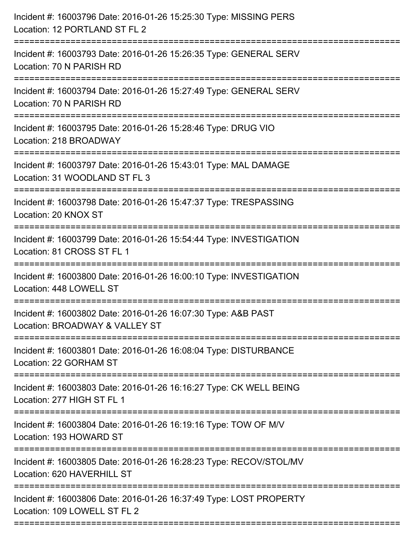| Incident #: 16003796 Date: 2016-01-26 15:25:30 Type: MISSING PERS<br>Location: 12 PORTLAND ST FL 2                      |
|-------------------------------------------------------------------------------------------------------------------------|
| Incident #: 16003793 Date: 2016-01-26 15:26:35 Type: GENERAL SERV<br>Location: 70 N PARISH RD                           |
| Incident #: 16003794 Date: 2016-01-26 15:27:49 Type: GENERAL SERV<br>Location: 70 N PARISH RD                           |
| Incident #: 16003795 Date: 2016-01-26 15:28:46 Type: DRUG VIO<br>Location: 218 BROADWAY                                 |
| Incident #: 16003797 Date: 2016-01-26 15:43:01 Type: MAL DAMAGE<br>Location: 31 WOODLAND ST FL 3                        |
| Incident #: 16003798 Date: 2016-01-26 15:47:37 Type: TRESPASSING<br>Location: 20 KNOX ST                                |
| Incident #: 16003799 Date: 2016-01-26 15:54:44 Type: INVESTIGATION<br>Location: 81 CROSS ST FL 1<br>=================== |
| Incident #: 16003800 Date: 2016-01-26 16:00:10 Type: INVESTIGATION<br>Location: 448 LOWELL ST                           |
| Incident #: 16003802 Date: 2016-01-26 16:07:30 Type: A&B PAST<br>Location: BROADWAY & VALLEY ST                         |
| Incident #: 16003801 Date: 2016-01-26 16:08:04 Type: DISTURBANCE<br>Location: 22 GORHAM ST                              |
| Incident #: 16003803 Date: 2016-01-26 16:16:27 Type: CK WELL BEING<br>Location: 277 HIGH ST FL 1                        |
| Incident #: 16003804 Date: 2016-01-26 16:19:16 Type: TOW OF M/V<br>Location: 193 HOWARD ST                              |
| Incident #: 16003805 Date: 2016-01-26 16:28:23 Type: RECOV/STOL/MV<br>Location: 620 HAVERHILL ST                        |
| Incident #: 16003806 Date: 2016-01-26 16:37:49 Type: LOST PROPERTY<br>Location: 109 LOWELL ST FL 2                      |
|                                                                                                                         |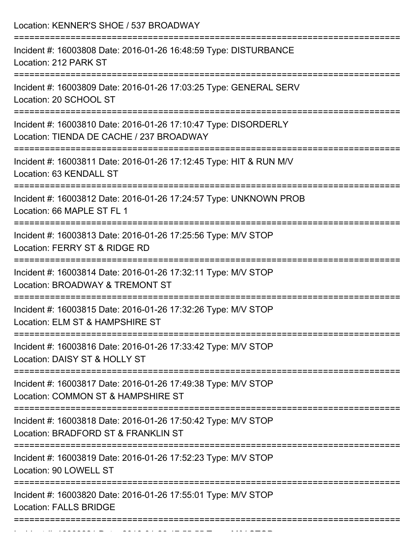| Location: KENNER'S SHOE / 537 BROADWAY                                                                                                                        |
|---------------------------------------------------------------------------------------------------------------------------------------------------------------|
| Incident #: 16003808 Date: 2016-01-26 16:48:59 Type: DISTURBANCE<br>Location: 212 PARK ST                                                                     |
| Incident #: 16003809 Date: 2016-01-26 17:03:25 Type: GENERAL SERV<br>Location: 20 SCHOOL ST                                                                   |
| Incident #: 16003810 Date: 2016-01-26 17:10:47 Type: DISORDERLY<br>Location: TIENDA DE CACHE / 237 BROADWAY                                                   |
| Incident #: 16003811 Date: 2016-01-26 17:12:45 Type: HIT & RUN M/V<br>Location: 63 KENDALL ST                                                                 |
| Incident #: 16003812 Date: 2016-01-26 17:24:57 Type: UNKNOWN PROB<br>Location: 66 MAPLE ST FL 1                                                               |
| Incident #: 16003813 Date: 2016-01-26 17:25:56 Type: M/V STOP<br>Location: FERRY ST & RIDGE RD                                                                |
| ======================<br>===============================<br>Incident #: 16003814 Date: 2016-01-26 17:32:11 Type: M/V STOP<br>Location: BROADWAY & TREMONT ST |
| Incident #: 16003815 Date: 2016-01-26 17:32:26 Type: M/V STOP<br>Location: ELM ST & HAMPSHIRE ST                                                              |
| Incident #: 16003816 Date: 2016-01-26 17:33:42 Type: M/V STOP<br>Location: DAISY ST & HOLLY ST                                                                |
| Incident #: 16003817 Date: 2016-01-26 17:49:38 Type: M/V STOP<br>Location: COMMON ST & HAMPSHIRE ST                                                           |
| Incident #: 16003818 Date: 2016-01-26 17:50:42 Type: M/V STOP<br>Location: BRADFORD ST & FRANKLIN ST                                                          |
| Incident #: 16003819 Date: 2016-01-26 17:52:23 Type: M/V STOP<br>Location: 90 LOWELL ST                                                                       |
| --------------------------<br>Incident #: 16003820 Date: 2016-01-26 17:55:01 Type: M/V STOP<br><b>Location: FALLS BRIDGE</b>                                  |
|                                                                                                                                                               |

Incident #: 16003821 Date: 2016 01 26 17:55:57 Type: M/V STOP:<br>.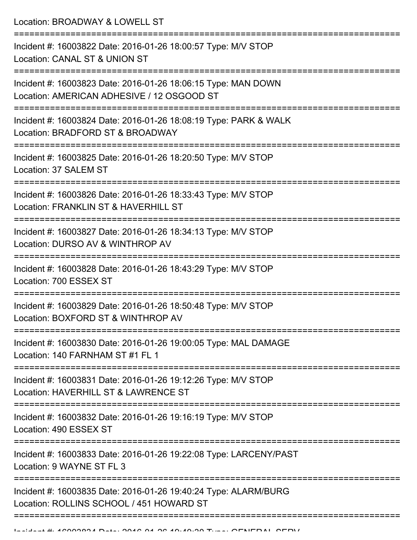Location: BROADWAY & LOWELL ST =========================================================================== Incident #: 16003822 Date: 2016-01-26 18:00:57 Type: M/V STOP Location: CANAL ST & UNION ST =========================================================================== Incident #: 16003823 Date: 2016-01-26 18:06:15 Type: MAN DOWN Location: AMERICAN ADHESIVE / 12 OSGOOD ST =========================================================================== Incident #: 16003824 Date: 2016-01-26 18:08:19 Type: PARK & WALK Location: BRADFORD ST & BROADWAY =========================================================================== Incident #: 16003825 Date: 2016-01-26 18:20:50 Type: M/V STOP Location: 37 SALEM ST =========================================================================== Incident #: 16003826 Date: 2016-01-26 18:33:43 Type: M/V STOP Location: FRANKLIN ST & HAVERHILL ST =========================================================================== Incident #: 16003827 Date: 2016-01-26 18:34:13 Type: M/V STOP Location: DURSO AV & WINTHROP AV =========================================================================== Incident #: 16003828 Date: 2016-01-26 18:43:29 Type: M/V STOP Location: 700 ESSEX ST =========================================================================== Incident #: 16003829 Date: 2016-01-26 18:50:48 Type: M/V STOP Location: BOXFORD ST & WINTHROP AV =========================================================================== Incident #: 16003830 Date: 2016-01-26 19:00:05 Type: MAL DAMAGE Location: 140 FARNHAM ST #1 FL 1 =========================================================================== Incident #: 16003831 Date: 2016-01-26 19:12:26 Type: M/V STOP Location: HAVERHILL ST & LAWRENCE ST =========================================================================== Incident #: 16003832 Date: 2016-01-26 19:16:19 Type: M/V STOP Location: 490 ESSEX ST =========================================================================== Incident #: 16003833 Date: 2016-01-26 19:22:08 Type: LARCENY/PAST Location: 9 WAYNE ST FL 3 =========================================================================== Incident #: 16003835 Date: 2016-01-26 19:40:24 Type: ALARM/BURG Location: ROLLINS SCHOOL / 451 HOWARD ST

===========================================================================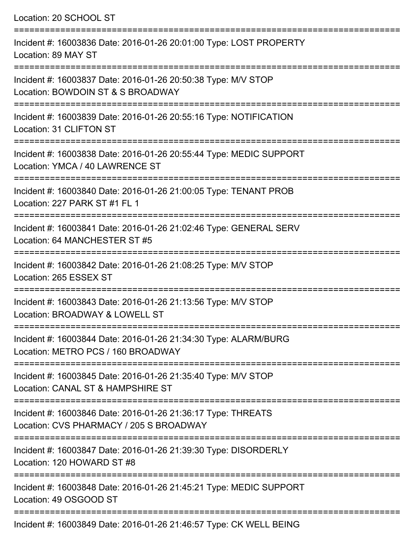Location: 20 SCHOOL ST =========================================================================== Incident #: 16003836 Date: 2016-01-26 20:01:00 Type: LOST PROPERTY Location: 89 MAY ST =========================================================================== Incident #: 16003837 Date: 2016-01-26 20:50:38 Type: M/V STOP Location: BOWDOIN ST & S BROADWAY =========================================================================== Incident #: 16003839 Date: 2016-01-26 20:55:16 Type: NOTIFICATION Location: 31 CLIFTON ST =========================================================================== Incident #: 16003838 Date: 2016-01-26 20:55:44 Type: MEDIC SUPPORT Location: YMCA / 40 LAWRENCE ST =========================================================================== Incident #: 16003840 Date: 2016-01-26 21:00:05 Type: TENANT PROB Location: 227 PARK ST #1 FL 1 =========================================================================== Incident #: 16003841 Date: 2016-01-26 21:02:46 Type: GENERAL SERV Location: 64 MANCHESTER ST #5 =========================================================================== Incident #: 16003842 Date: 2016-01-26 21:08:25 Type: M/V STOP Location: 265 ESSEX ST =========================================================================== Incident #: 16003843 Date: 2016-01-26 21:13:56 Type: M/V STOP Location: BROADWAY & LOWELL ST =========================================================================== Incident #: 16003844 Date: 2016-01-26 21:34:30 Type: ALARM/BURG Location: METRO PCS / 160 BROADWAY =========================================================================== Incident #: 16003845 Date: 2016-01-26 21:35:40 Type: M/V STOP Location: CANAL ST & HAMPSHIRE ST =========================================================================== Incident #: 16003846 Date: 2016-01-26 21:36:17 Type: THREATS Location: CVS PHARMACY / 205 S BROADWAY =========================================================================== Incident #: 16003847 Date: 2016-01-26 21:39:30 Type: DISORDERLY Location: 120 HOWARD ST #8 =========================================================================== Incident #: 16003848 Date: 2016-01-26 21:45:21 Type: MEDIC SUPPORT Location: 49 OSGOOD ST ===========================================================================

Incident #: 16003849 Date: 2016-01-26 21:46:57 Type: CK WELL BEING